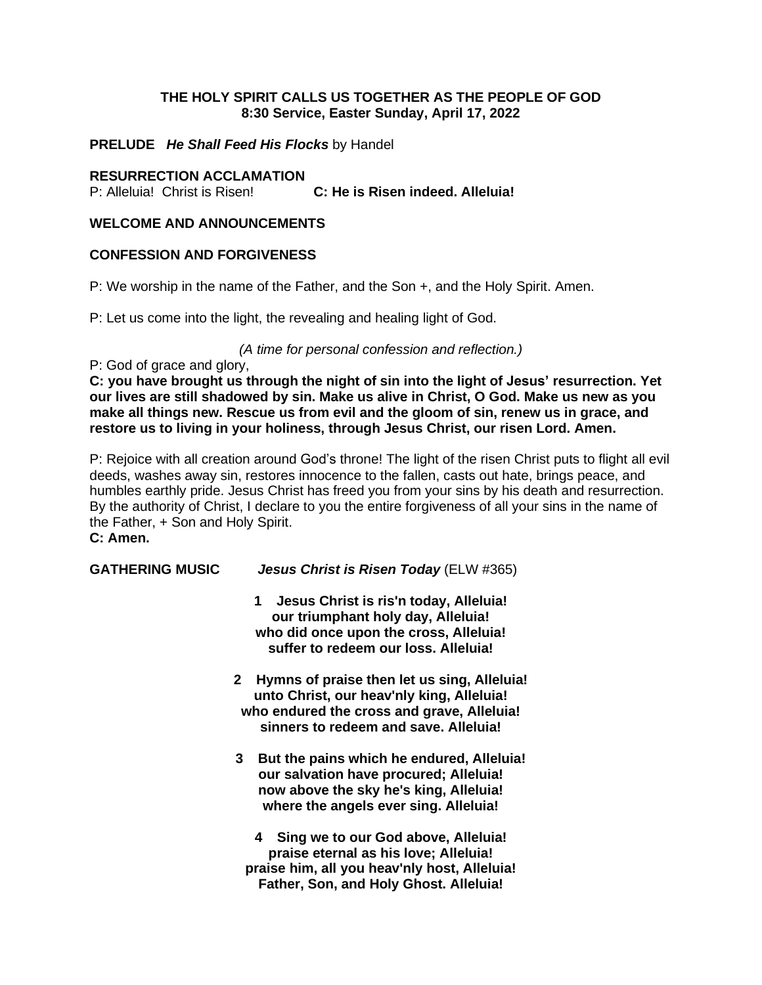## **THE HOLY SPIRIT CALLS US TOGETHER AS THE PEOPLE OF GOD 8:30 Service, Easter Sunday, April 17, 2022**

## **PRELUDE** *He Shall Feed His Flocks* by Handel

#### **RESURRECTION ACCLAMATION**

P: Alleluia! Christ is Risen! **C: He is Risen indeed. Alleluia!**

## **WELCOME AND ANNOUNCEMENTS**

#### **CONFESSION AND FORGIVENESS**

P: We worship in the name of the Father, and the Son +, and the Holy Spirit. Amen.

P: Let us come into the light, the revealing and healing light of God.

## *(A time for personal confession and reflection.)*

P: God of grace and glory,

**C: you have brought us through the night of sin into the light of Jesus' resurrection. Yet our lives are still shadowed by sin. Make us alive in Christ, O God. Make us new as you make all things new. Rescue us from evil and the gloom of sin, renew us in grace, and restore us to living in your holiness, through Jesus Christ, our risen Lord. Amen.**

P: Rejoice with all creation around God's throne! The light of the risen Christ puts to flight all evil deeds, washes away sin, restores innocence to the fallen, casts out hate, brings peace, and humbles earthly pride. Jesus Christ has freed you from your sins by his death and resurrection. By the authority of Christ, I declare to you the entire forgiveness of all your sins in the name of the Father, + Son and Holy Spirit. **C: Amen.**

**GATHERING MUSIC** *Jesus Christ is Risen Today* (ELW #365)

- **1 Jesus Christ is ris'n today, Alleluia! our triumphant holy day, Alleluia! who did once upon the cross, Alleluia! suffer to redeem our loss. Alleluia!**
- **2 Hymns of praise then let us sing, Alleluia! unto Christ, our heav'nly king, Alleluia! who endured the cross and grave, Alleluia! sinners to redeem and save. Alleluia!**
- **3 But the pains which he endured, Alleluia! our salvation have procured; Alleluia! now above the sky he's king, Alleluia! where the angels ever sing. Alleluia!**

**4 Sing we to our God above, Alleluia! praise eternal as his love; Alleluia! praise him, all you heav'nly host, Alleluia! Father, Son, and Holy Ghost. Alleluia!**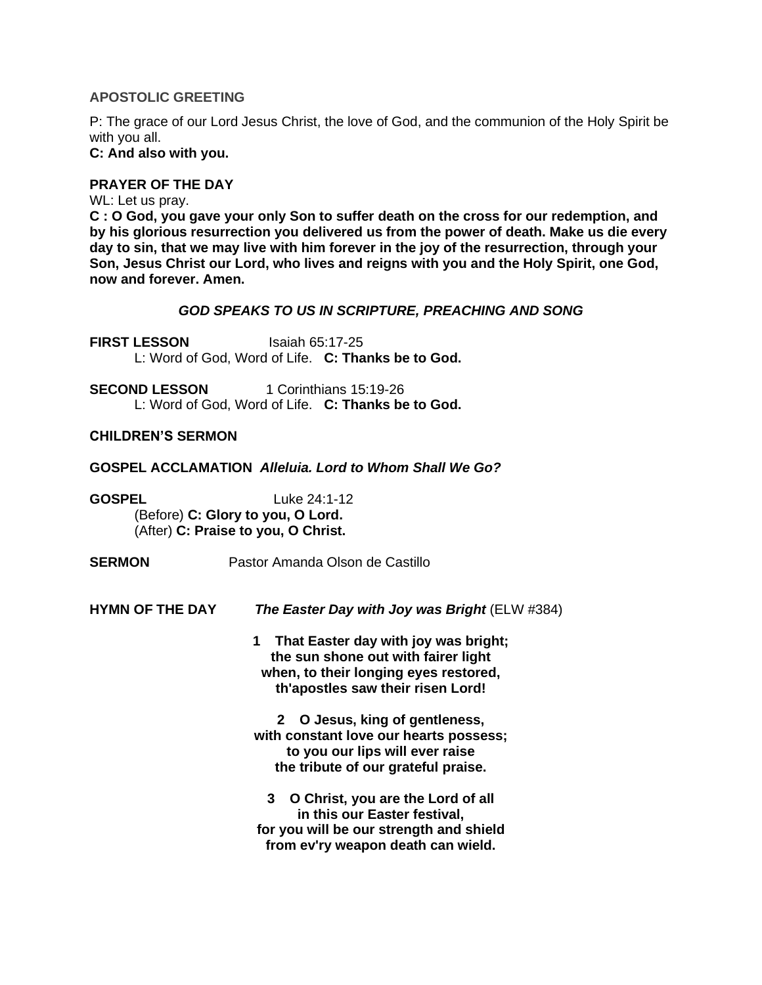## **APOSTOLIC GREETING**

P: The grace of our Lord Jesus Christ, the love of God, and the communion of the Holy Spirit be with you all.

**C: And also with you.**

## **PRAYER OF THE DAY**

WL: Let us pray.

**C : O God, you gave your only Son to suffer death on the cross for our redemption, and by his glorious resurrection you delivered us from the power of death. Make us die every day to sin, that we may live with him forever in the joy of the resurrection, through your Son, Jesus Christ our Lord, who lives and reigns with you and the Holy Spirit, one God, now and forever. Amen.**

## *GOD SPEAKS TO US IN SCRIPTURE, PREACHING AND SONG*

**FIRST LESSON** Isaiah 65:17-25 L: Word of God, Word of Life. **C: Thanks be to God.**

**SECOND LESSON** 1 Corinthians 15:19-26 L: Word of God, Word of Life. **C: Thanks be to God.**

#### **CHILDREN'S SERMON**

**GOSPEL ACCLAMATION** *Alleluia. Lord to Whom Shall We Go?*

**GOSPEL** Luke 24:1-12 (Before) **C: Glory to you, O Lord.** (After) **C: Praise to you, O Christ.**

**SERMON** Pastor Amanda Olson de Castillo

**HYMN OF THE DAY** *The Easter Day with Joy was Bright* (ELW #384)

**1 That Easter day with joy was bright; the sun shone out with fairer light when, to their longing eyes restored, th'apostles saw their risen Lord!**

**2 O Jesus, king of gentleness, with constant love our hearts possess; to you our lips will ever raise the tribute of our grateful praise.**

**3 O Christ, you are the Lord of all in this our Easter festival, for you will be our strength and shield from ev'ry weapon death can wield.**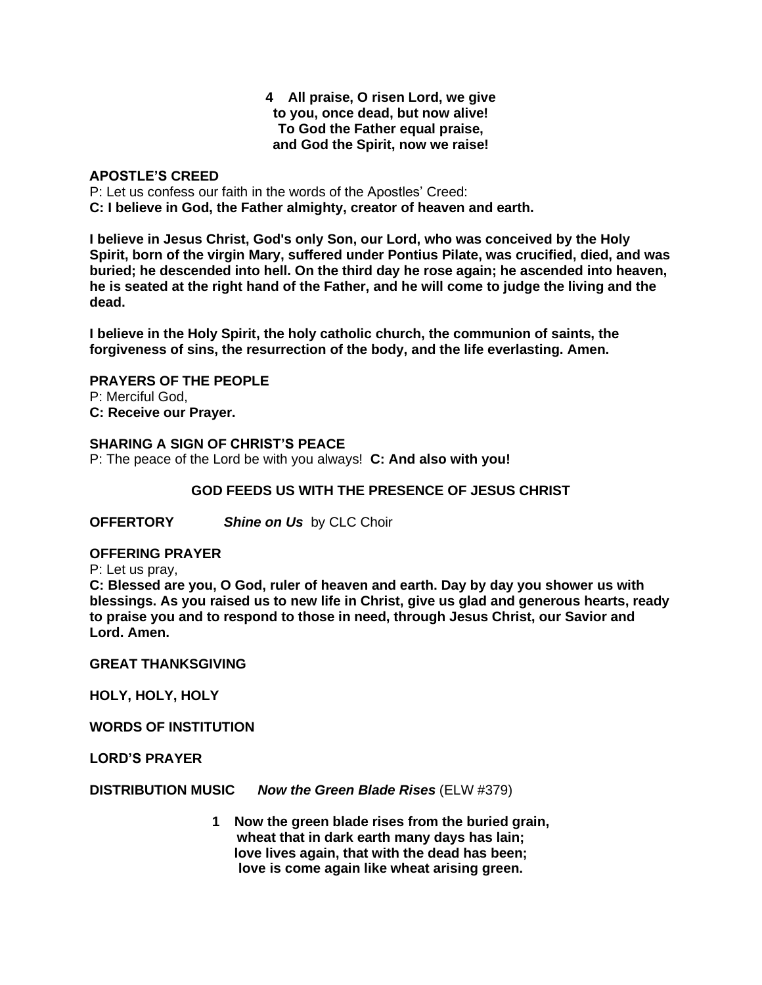#### **4 All praise, O risen Lord, we give to you, once dead, but now alive! To God the Father equal praise, and God the Spirit, now we raise!**

## **APOSTLE'S CREED**

P: Let us confess our faith in the words of the Apostles' Creed: **C: I believe in God, the Father almighty, creator of heaven and earth.**

**I believe in Jesus Christ, God's only Son, our Lord, who was conceived by the Holy Spirit, born of the virgin Mary, suffered under Pontius Pilate, was crucified, died, and was buried; he descended into hell. On the third day he rose again; he ascended into heaven,** he is seated at the right hand of the Father, and he will come to judge the living and the **dead.**

**I believe in the Holy Spirit, the holy catholic church, the communion of saints, the forgiveness of sins, the resurrection of the body, and the life everlasting. Amen.**

**PRAYERS OF THE PEOPLE** P: Merciful God,

**C: Receive our Prayer.**

## **SHARING A SIGN OF CHRIST'S PEACE**

P: The peace of the Lord be with you always! **C: And also with you!**

## **GOD FEEDS US WITH THE PRESENCE OF JESUS CHRIST**

**OFFERTORY** *Shine on Us* by CLC Choir

#### **OFFERING PRAYER**

P: Let us pray,

**C: Blessed are you, O God, ruler of heaven and earth. Day by day you shower us with blessings. As you raised us to new life in Christ, give us glad and generous hearts, ready to praise you and to respond to those in need, through Jesus Christ, our Savior and Lord. Amen.**

#### **GREAT THANKSGIVING**

**HOLY, HOLY, HOLY**

**WORDS OF INSTITUTION**

**LORD'S PRAYER**

**DISTRIBUTION MUSIC** *Now the Green Blade Rises* (ELW #379)

**1 Now the green blade rises from the buried grain, wheat that in dark earth many days has lain; love lives again, that with the dead has been; love is come again like wheat arising green.**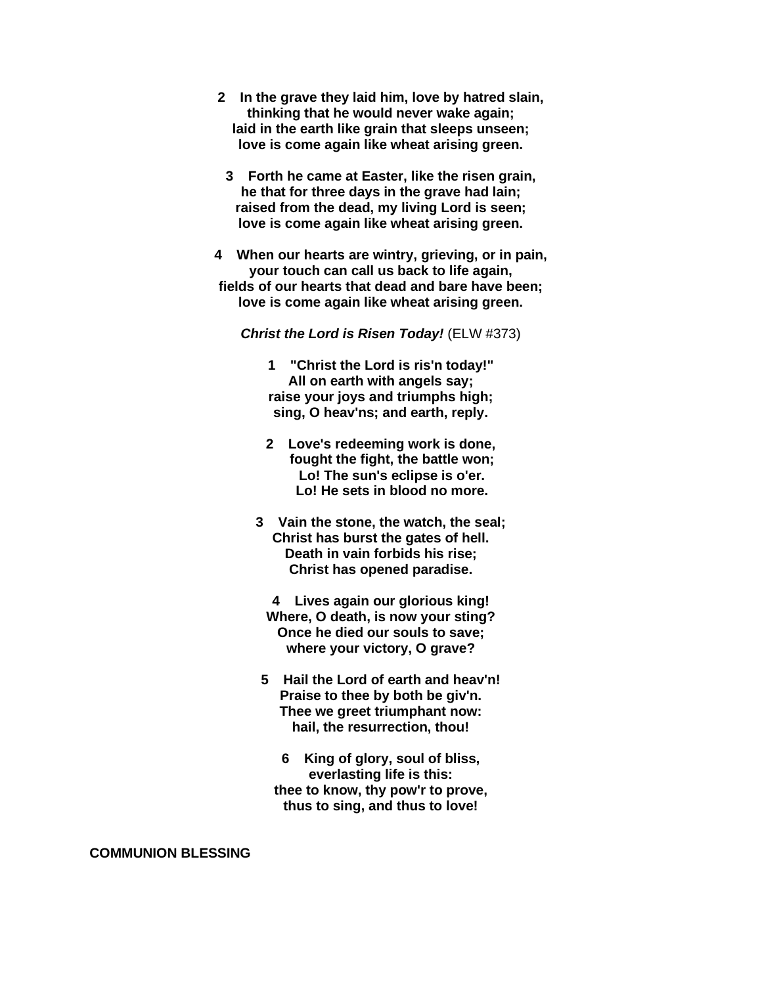- **2 In the grave they laid him, love by hatred slain, thinking that he would never wake again; laid in the earth like grain that sleeps unseen; love is come again like wheat arising green.**
- **3 Forth he came at Easter, like the risen grain, he that for three days in the grave had lain; raised from the dead, my living Lord is seen; love is come again like wheat arising green.**
- **4 When our hearts are wintry, grieving, or in pain, your touch can call us back to life again, fields of our hearts that dead and bare have been; love is come again like wheat arising green.**

*Christ the Lord is Risen Today!* (ELW #373)

- **1 "Christ the Lord is ris'n today!" All on earth with angels say; raise your joys and triumphs high; sing, O heav'ns; and earth, reply.**
- **2 Love's redeeming work is done, fought the fight, the battle won; Lo! The sun's eclipse is o'er. Lo! He sets in blood no more.**
- **3 Vain the stone, the watch, the seal; Christ has burst the gates of hell. Death in vain forbids his rise; Christ has opened paradise.**
	- **4 Lives again our glorious king! Where, O death, is now your sting? Once he died our souls to save; where your victory, O grave?**
- **5 Hail the Lord of earth and heav'n! Praise to thee by both be giv'n. Thee we greet triumphant now: hail, the resurrection, thou!**
	- **6 King of glory, soul of bliss, everlasting life is this: thee to know, thy pow'r to prove, thus to sing, and thus to love!**

**COMMUNION BLESSING**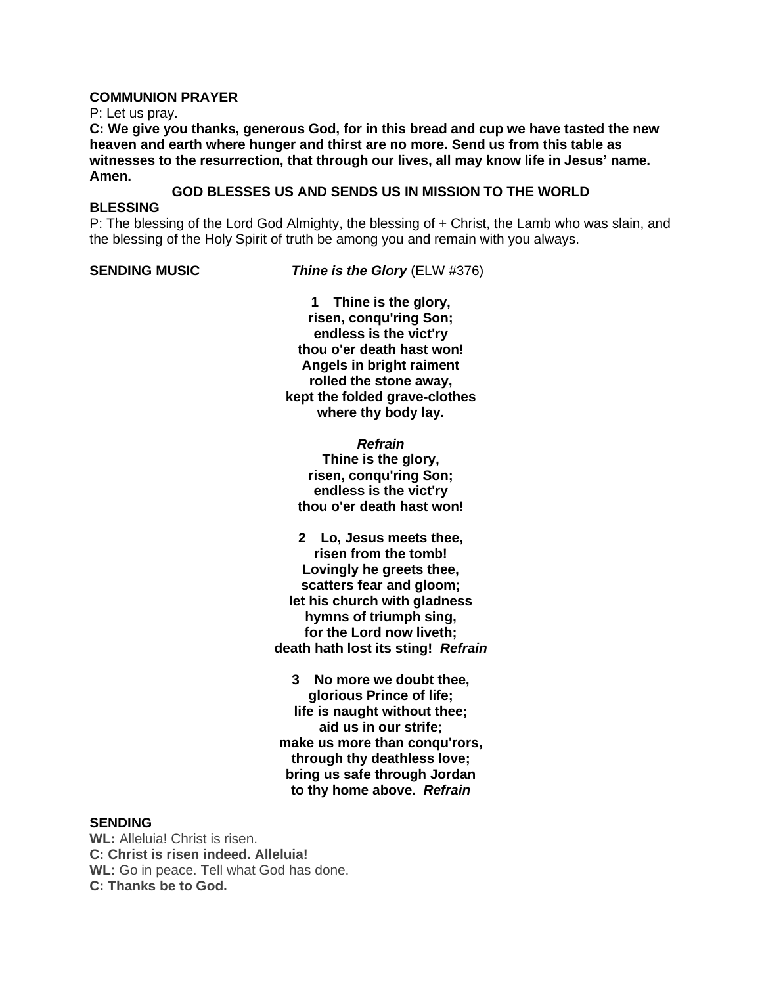#### **COMMUNION PRAYER**

P: Let us pray.

**C: We give you thanks, generous God, for in this bread and cup we have tasted the new heaven and earth where hunger and thirst are no more. Send us from this table as witnesses to the resurrection, that through our lives, all may know life in Jesus' name. Amen.**

# **GOD BLESSES US AND SENDS US IN MISSION TO THE WORLD**

#### **BLESSING**

P: The blessing of the Lord God Almighty, the blessing of + Christ, the Lamb who was slain, and the blessing of the Holy Spirit of truth be among you and remain with you always.

**SENDING MUSIC** *Thine is the Glory* (ELW #376)

**1 Thine is the glory, risen, conqu'ring Son; endless is the vict'ry thou o'er death hast won! Angels in bright raiment rolled the stone away, kept the folded grave-clothes where thy body lay.**

*Refrain* **Thine is the glory, risen, conqu'ring Son; endless is the vict'ry thou o'er death hast won!**

**2 Lo, Jesus meets thee, risen from the tomb! Lovingly he greets thee, scatters fear and gloom; let his church with gladness hymns of triumph sing, for the Lord now liveth; death hath lost its sting!** *Refrain*

**3 No more we doubt thee, glorious Prince of life; life is naught without thee; aid us in our strife; make us more than conqu'rors, through thy deathless love; bring us safe through Jordan to thy home above.** *Refrain*

#### **SENDING**

**WL:** Alleluia! Christ is risen. **C: Christ is risen indeed. Alleluia! WL:** Go in peace. Tell what God has done. **C: Thanks be to God.**